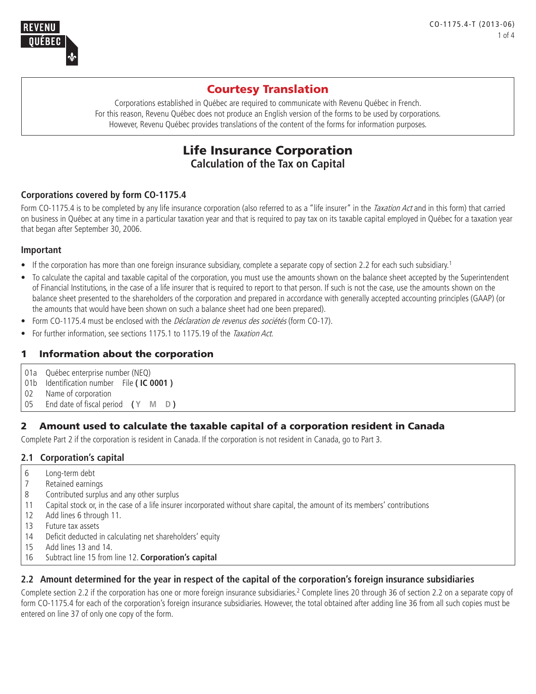

# Courtesy Translation

Corporations established in Québec are required to communicate with Revenu Québec in French. For this reason, Revenu Québec does not produce an English version of the forms to be used by corporations. However, Revenu Québec provides translations of the content of the forms for information purposes.

## Life Insurance Corporation **Calculation of the Tax on Capital**

## **Corporations covered by form CO-1175.4**

Form CO-1175.4 is to be completed by any life insurance corporation (also referred to as a "life insurer" in the Taxation Act and in this form) that carried on business in Québec at any time in a particular taxation year and that is required to pay tax on its taxable capital employed in Québec for a taxation year that began after September 30, 2006.

## **Important**

- If the corporation has more than one foreign insurance subsidiary, complete a separate copy of section 2.2 for each such subsidiary.<sup>1</sup>
- • To calculate the capital and taxable capital of the corporation, you must use the amounts shown on the balance sheet accepted by the Superintendent of Financial Institutions, in the case of a life insurer that is required to report to that person. If such is not the case, use the amounts shown on the balance sheet presented to the shareholders of the corporation and prepared in accordance with generally accepted accounting principles (GAAP) (or the amounts that would have been shown on such a balance sheet had one been prepared).
- Form CO-1175.4 must be enclosed with the *Déclaration de revenus des sociétés* (form CO-17).
- For further information, see sections 1175.1 to 1175.19 of the Taxation Act.

## 1 Information about the corporation

- 01a Québec enterprise number (NEQ)
- 01b Identification number File **( IC 0001 )**
- 02 Name of corporation
- 05 End date of fiscal period **( Y M D )**

## 2 Amount used to calculate the taxable capital of a corporation resident in Canada

Complete Part 2 if the corporation is resident in Canada. If the corporation is not resident in Canada, go to Part 3.

## **2.1 Corporation's capital**

- 6 Long-term debt
- 7 Retained earnings
- 8 Contributed surplus and any other surplus
- 11 Capital stock or, in the case of a life insurer incorporated without share capital, the amount of its members' contributions
- 12 Add lines 6 through 11.
- 13 Future tax assets
- 14 Deficit deducted in calculating net shareholders' equity
- 15 Add lines 13 and 14.
- 16 Subtract line 15 from line 12. **Corporation's capital**

## **2.2 Amount determined for the year in respect of the capital of the corporation's foreign insurance subsidiaries**

Complete section 2.2 if the corporation has one or more foreign insurance subsidiaries.<sup>2</sup> Complete lines 20 through 36 of section 2.2 on a separate copy of form CO-1175.4 for each of the corporation's foreign insurance subsidiaries. However, the total obtained after adding line 36 from all such copies must be entered on line 37 of only one copy of the form.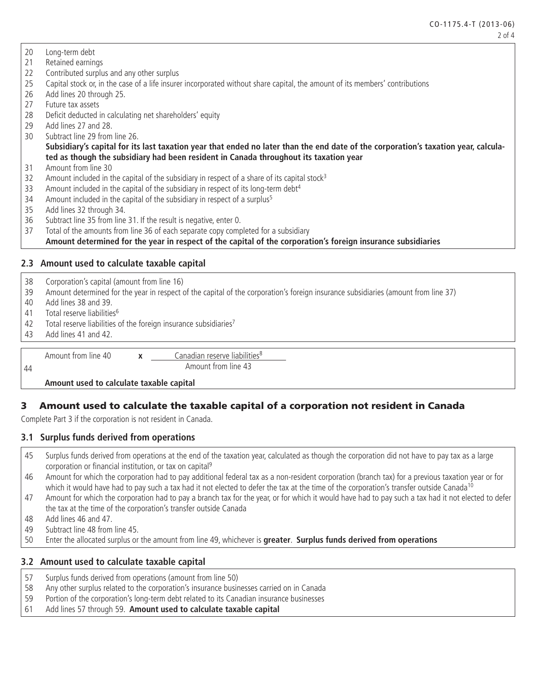- 20 Long-term debt
- 21 Retained earnings
- 22 Contributed surplus and any other surplus
- 25 Capital stock or, in the case of a life insurer incorporated without share capital, the amount of its members' contributions
- 26 Add lines 20 through 25.
- 27 Future tax assets
- 28 Deficit deducted in calculating net shareholders' equity
- 29 Add lines 27 and 28.
- 30 Subtract line 29 from line 26.

**Subsidiary's capital for its last taxation year that ended no later than the end date of the corporation's taxation year, calculated as though the subsidiary had been resident in Canada throughout its taxation year**

- 31 Amount from line 30
- 32 Amount included in the capital of the subsidiary in respect of a share of its capital stock<sup>3</sup>
- 33 Amount included in the capital of the subsidiary in respect of its long-term debt<sup>4</sup>
- 34 Amount included in the capital of the subsidiary in respect of a surplus<sup>5</sup>
- 35 Add lines 32 through 34.
- 36 Subtract line 35 from line 31. If the result is negative, enter 0.
- 37 Total of the amounts from line 36 of each separate copy completed for a subsidiary

#### **Amount determined for the year in respect of the capital of the corporation's foreign insurance subsidiaries**

#### **2.3 Amount used to calculate taxable capital**

- 38 Corporation's capital (amount from line 16)
- 39 Amount determined for the year in respect of the capital of the corporation's foreign insurance subsidiaries (amount from line 37)
- 40 Add lines 38 and 39.
- 41 Total reserve liabilities6
- 42 Total reserve liabilities of the foreign insurance subsidiaries<sup>7</sup>
- 43 Add lines 41 and 42.
- 

44

Amount from line 40 **x** Canadian reserve liabilities<sup>8</sup> Amount from line 43

#### **Amount used to calculate taxable capital**

## 3 Amount used to calculate the taxable capital of a corporation not resident in Canada

Complete Part 3 if the corporation is not resident in Canada.

#### **3.1 Surplus funds derived from operations**

- 45 Surplus funds derived from operations at the end of the taxation year, calculated as though the corporation did not have to pay tax as a large corporation or financial institution, or tax on capital<sup>9</sup>
- 46 Amount for which the corporation had to pay additional federal tax as a non-resident corporation (branch tax) for a previous taxation year or for which it would have had to pay such a tax had it not elected to defer the tax at the time of the corporation's transfer outside Canada<sup>10</sup>
- 47 Amount for which the corporation had to pay a branch tax for the year, or for which it would have had to pay such a tax had it not elected to defer the tax at the time of the corporation's transfer outside Canada
- 48 Add lines 46 and 47.
- 49 Subtract line 48 from line 45.
- 50 Enter the allocated surplus or the amount from line 49, whichever is **greater**. **Surplus funds derived from operations**

## **3.2 Amount used to calculate taxable capital**

- 57 Surplus funds derived from operations (amount from line 50)
- 58 Any other surplus related to the corporation's insurance businesses carried on in Canada
- 59 Portion of the corporation's long-term debt related to its Canadian insurance businesses
- 61 Add lines 57 through 59. **Amount used to calculate taxable capital**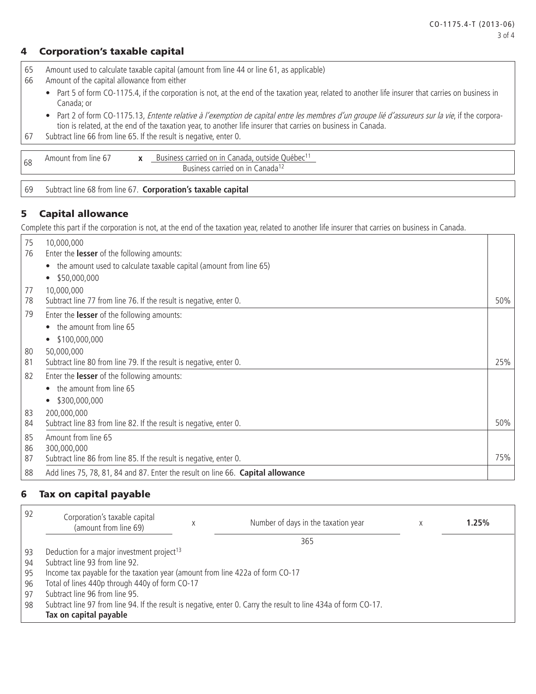### 4 Corporation's taxable capital

65 Amount used to calculate taxable capital (amount from line 44 or line 61, as applicable)

- 66 Amount of the capital allowance from either
	- Part 5 of form CO-1175.4, if the corporation is not, at the end of the taxation year, related to another life insurer that carries on business in Canada; or
	- Part 2 of form CO-1175.13, *Entente relative à l'exemption de capital entre les membres d'un groupe lié d'assureurs sur la vie*, if the corporation is related, at the end of the taxation year, to another life insurer that carries on business in Canada.
- 67 Subtract line 66 from line 65. If the result is negative, enter 0.

| 68 | rom<br>line.<br>Amount | $\bullet$<br>$\overline{\phantom{a}}$ | carrien.<br>anada<br>on<br>uëbec<br>$\overline{1}$<br>outside<br>$-100$<br><b>INACS</b> |
|----|------------------------|---------------------------------------|-----------------------------------------------------------------------------------------|
|    |                        |                                       | anada<br>rı Ar<br>or                                                                    |

69 Subtract line 68 from line 67. **Corporation's taxable capital**

## 5 Capital allowance

Complete this part if the corporation is not, at the end of the taxation year, related to another life insurer that carries on business in Canada.

| 75 | 10,000,000                                                                      |     |  |  |  |
|----|---------------------------------------------------------------------------------|-----|--|--|--|
| 76 | Enter the lesser of the following amounts:                                      |     |  |  |  |
|    | the amount used to calculate taxable capital (amount from line 65)              |     |  |  |  |
|    | \$50,000,000<br>$\bullet$                                                       |     |  |  |  |
| 77 | 10,000,000                                                                      |     |  |  |  |
| 78 | Subtract line 77 from line 76. If the result is negative, enter 0.              | 50% |  |  |  |
| 79 | Enter the lesser of the following amounts:                                      |     |  |  |  |
|    | the amount from line 65                                                         |     |  |  |  |
|    | \$100,000,000                                                                   |     |  |  |  |
| 80 | 50,000,000                                                                      |     |  |  |  |
| 81 | Subtract line 80 from line 79. If the result is negative, enter 0.              | 25% |  |  |  |
| 82 | Enter the lesser of the following amounts:                                      |     |  |  |  |
|    | the amount from line 65                                                         |     |  |  |  |
|    | \$300,000,000                                                                   |     |  |  |  |
| 83 | 200,000,000                                                                     |     |  |  |  |
| 84 | Subtract line 83 from line 82. If the result is negative, enter 0.              | 50% |  |  |  |
| 85 | Amount from line 65                                                             |     |  |  |  |
| 86 | 300,000,000                                                                     |     |  |  |  |
| 87 | Subtract line 86 from line 85. If the result is negative, enter 0.              | 75% |  |  |  |
| 88 | Add lines 75, 78, 81, 84 and 87. Enter the result on line 66. Capital allowance |     |  |  |  |

## 6 Tax on capital payable

| 92 | Corporation's taxable capital<br>(amount from line 69)                                                          |  | Number of days in the taxation year |  | 1.25% |  |  |  |  |  |
|----|-----------------------------------------------------------------------------------------------------------------|--|-------------------------------------|--|-------|--|--|--|--|--|
|    |                                                                                                                 |  | 365                                 |  |       |  |  |  |  |  |
| 93 | Deduction for a major investment project <sup>13</sup>                                                          |  |                                     |  |       |  |  |  |  |  |
| 94 | Subtract line 93 from line 92.                                                                                  |  |                                     |  |       |  |  |  |  |  |
| 95 | Income tax payable for the taxation year (amount from line 422a of form CO-17                                   |  |                                     |  |       |  |  |  |  |  |
| 96 | Total of lines 440p through 440y of form CO-17                                                                  |  |                                     |  |       |  |  |  |  |  |
| 97 | Subtract line 96 from line 95.                                                                                  |  |                                     |  |       |  |  |  |  |  |
| 98 | Subtract line 97 from line 94. If the result is negative, enter 0. Carry the result to line 434a of form CO-17. |  |                                     |  |       |  |  |  |  |  |
|    | Tax on capital payable                                                                                          |  |                                     |  |       |  |  |  |  |  |